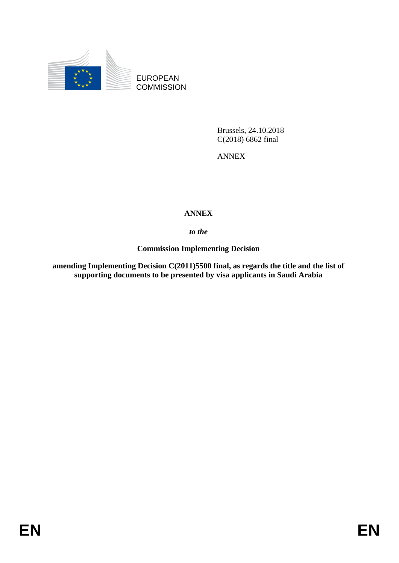

EUROPEAN **COMMISSION** 

> Brussels, 24.10.2018 C(2018) 6862 final

ANNEX

# **ANNEX**

## *to the*

**Commission Implementing Decision**

**amending Implementing Decision C(2011)5500 final, as regards the title and the list of supporting documents to be presented by visa applicants in Saudi Arabia**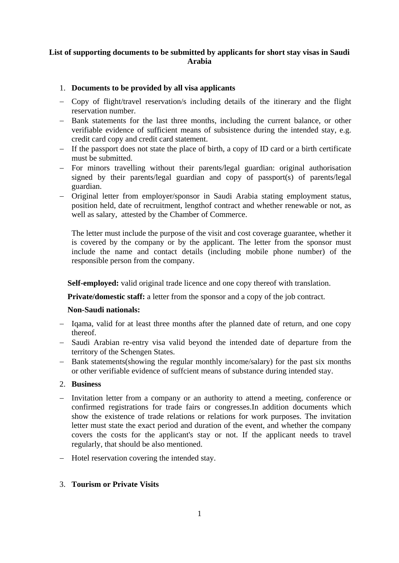### **List of supporting documents to be submitted by applicants for short stay visas in Saudi Arabia**

### 1. **Documents to be provided by all visa applicants**

- Copy of flight/travel reservation/s including details of the itinerary and the flight reservation number.
- Bank statements for the last three months, including the current balance, or other verifiable evidence of sufficient means of subsistence during the intended stay, e.g. credit card copy and credit card statement.
- If the passport does not state the place of birth, a copy of ID card or a birth certificate must be submitted.
- For minors travelling without their parents/legal guardian: original authorisation signed by their parents/legal guardian and copy of passport(s) of parents/legal guardian.
- Original letter from employer/sponsor in Saudi Arabia stating employment status, position held, date of recruitment, lengthof contract and whether renewable or not, as well as salary, attested by the Chamber of Commerce.

The letter must include the purpose of the visit and cost coverage guarantee, whether it is covered by the company or by the applicant. The letter from the sponsor must include the name and contact details (including mobile phone number) of the responsible person from the company.

**Self-employed:** valid original trade licence and one copy thereof with translation.

**Private/domestic staff:** a letter from the sponsor and a copy of the job contract.

#### **Non-Saudi nationals:**

- Igama, valid for at least three months after the planned date of return, and one copy thereof.
- Saudi Arabian re-entry visa valid beyond the intended date of departure from the territory of the Schengen States.
- Bank statements(showing the regular monthly income/salary) for the past six months or other verifiable evidence of suffcient means of substance during intended stay.

#### 2. **Business**

- Invitation letter from a company or an authority to attend a meeting, conference or confirmed registrations for trade fairs or congresses.In addition documents which show the existence of trade relations or relations for work purposes. The invitation letter must state the exact period and duration of the event, and whether the company covers the costs for the applicant's stay or not. If the applicant needs to travel regularly, that should be also mentioned.
- Hotel reservation covering the intended stay.

### 3. **Tourism or Private Visits**